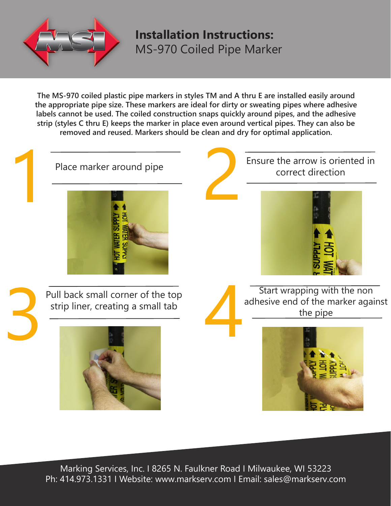

**Installation Instructions:**  MS-970 Coiled Pipe Marker

**The MS-970 coiled plastic pipe markers in styles TM and A thru E are installed easily around the appropriate pipe size. These markers are ideal for dirty or sweating pipes where adhesive labels cannot be used. The coiled construction snaps quickly around pipes, and the adhesive strip (styles C thru E) keeps the marker in place even around vertical pipes. They can also be removed and reused. Markers should be clean and dry for optimal application.**